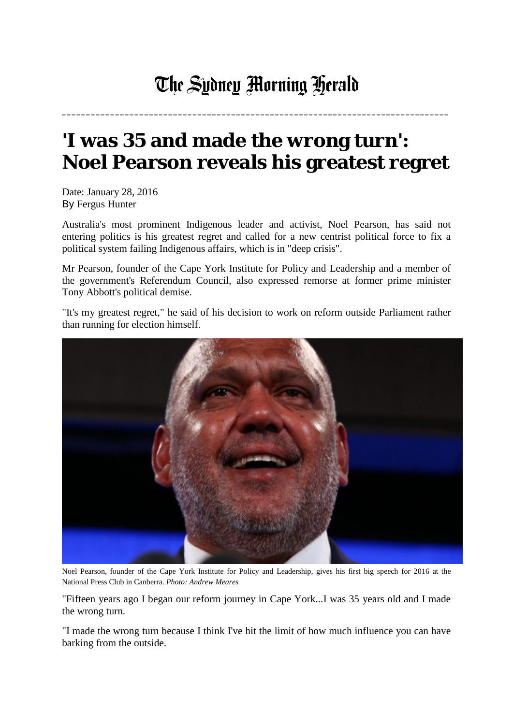## The Sydney Morning Herald

**\_\_\_\_\_\_\_\_\_\_\_\_\_\_\_\_\_\_\_\_\_\_\_\_\_\_\_\_\_\_\_\_\_\_\_\_\_\_\_\_\_\_\_\_\_\_\_\_\_\_\_\_\_\_\_\_\_\_\_\_\_\_\_\_\_\_\_\_\_\_\_\_\_\_\_\_\_\_\_\_**

## **'I was 35 and made the wrong turn': Noel Pearson reveals his greatest regret**

Date: January 28, 2016 By Fergus Hunter

Australia's most prominent Indigenous leader and activist, Noel Pearson, has said not entering politics is his greatest regret and called for a new centrist political force to fix a political system failing Indigenous affairs, which is in "deep crisis".

Mr Pearson, founder of the Cape York Institute for Policy and Leadership and a member of the government's Referendum Council, also expressed remorse at former prime minister Tony Abbott's political demise.

"It's my greatest regret," he said of his decision to work on reform outside Parliament rather than running for election himself.



Noel Pearson, founder of the Cape York Institute for Policy and Leadership, gives his first big speech for 2016 at the National Press Club in Canberra. *Photo: Andrew Meares*

"Fifteen years ago I began our reform journey in Cape York...I was 35 years old and I made the wrong turn.

"I made the wrong turn because I think I've hit the limit of how much influence you can have barking from the outside.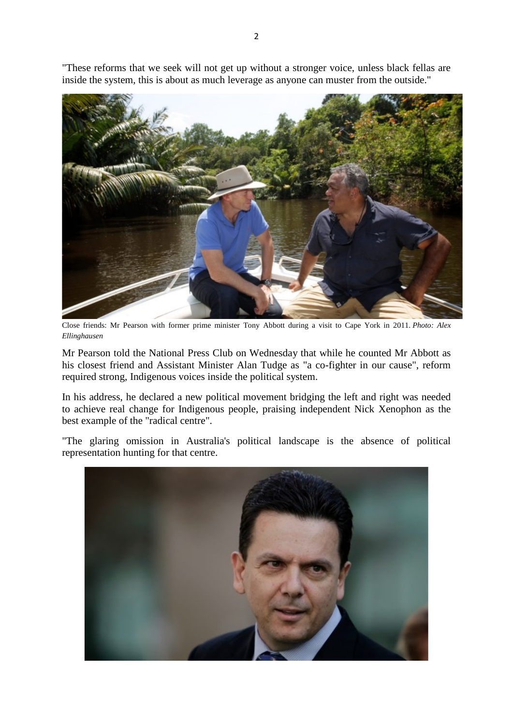"These reforms that we seek will not get up without a stronger voice, unless black fellas are inside the system, this is about as much leverage as anyone can muster from the outside."



Close friends: Mr Pearson with former prime minister Tony Abbott during a visit to Cape York in 2011. *Photo: Alex Ellinghausen*

Mr Pearson told the National Press Club on Wednesday that while he counted Mr Abbott as his closest friend and Assistant Minister Alan Tudge as "a co-fighter in our cause", reform required strong, Indigenous voices inside the political system.

In his address, he declared a new political movement bridging the left and right was needed to achieve real change for Indigenous people, praising independent Nick Xenophon as the best example of the "radical centre".

"The glaring omission in Australia's political landscape is the absence of political representation hunting for that centre.